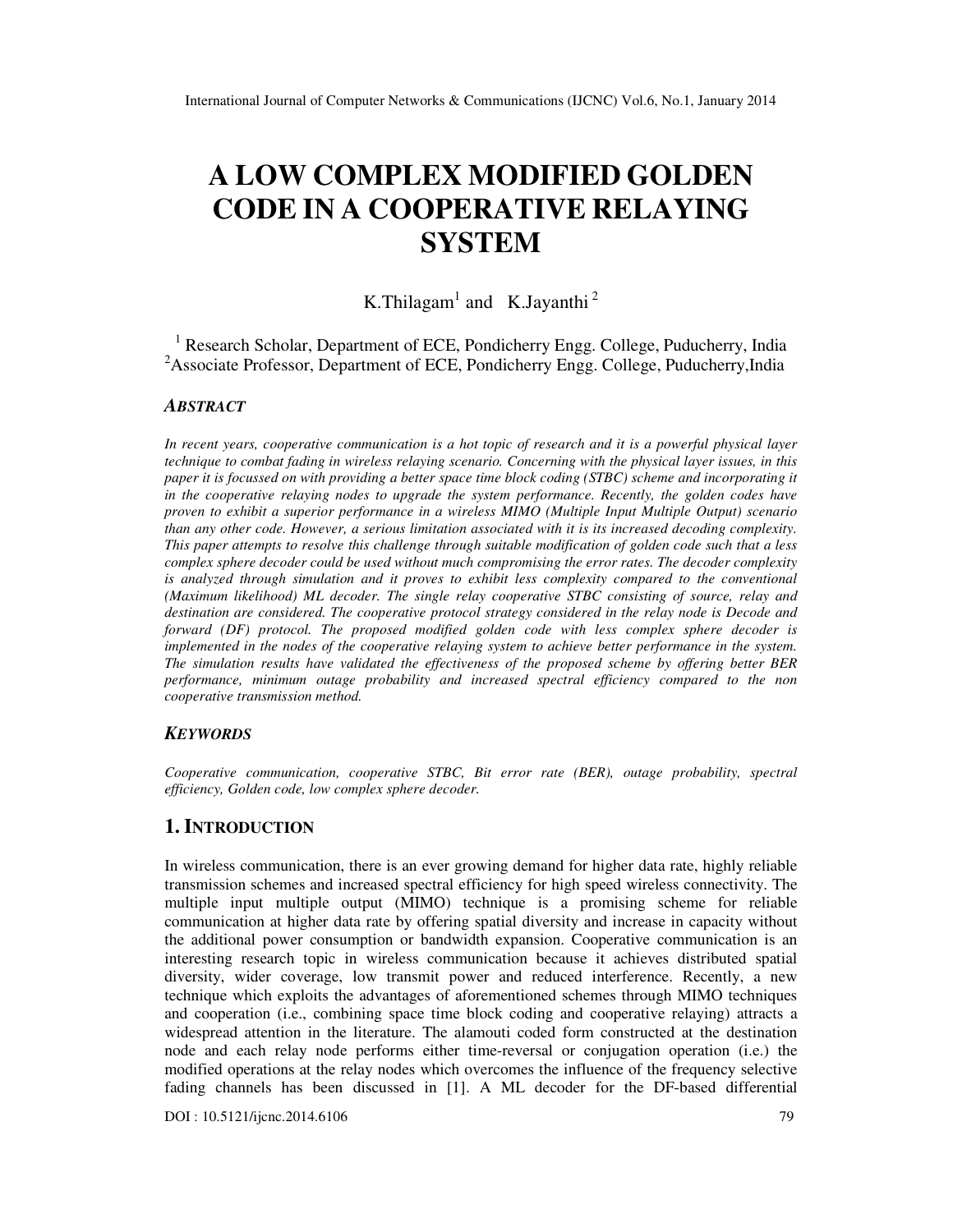# **A LOW COMPLEX MODIFIED GOLDEN CODE IN A COOPERATIVE RELAYING SYSTEM**

# K.Thilagam<sup>1</sup> and K.Jayanthi<sup>2</sup>

<sup>1</sup> Research Scholar, Department of ECE, Pondicherry Engg. College, Puducherry, India <sup>2</sup> Associate Professor, Department of ECE, Pondicherry Engg. College, Puducherry, India

## *ABSTRACT*

*In recent years, cooperative communication is a hot topic of research and it is a powerful physical layer technique to combat fading in wireless relaying scenario. Concerning with the physical layer issues, in this paper it is focussed on with providing a better space time block coding (STBC) scheme and incorporating it in the cooperative relaying nodes to upgrade the system performance. Recently, the golden codes have proven to exhibit a superior performance in a wireless MIMO (Multiple Input Multiple Output) scenario than any other code. However, a serious limitation associated with it is its increased decoding complexity. This paper attempts to resolve this challenge through suitable modification of golden code such that a less complex sphere decoder could be used without much compromising the error rates. The decoder complexity is analyzed through simulation and it proves to exhibit less complexity compared to the conventional (Maximum likelihood) ML decoder. The single relay cooperative STBC consisting of source, relay and destination are considered. The cooperative protocol strategy considered in the relay node is Decode and forward (DF) protocol. The proposed modified golden code with less complex sphere decoder is implemented in the nodes of the cooperative relaying system to achieve better performance in the system. The simulation results have validated the effectiveness of the proposed scheme by offering better BER performance, minimum outage probability and increased spectral efficiency compared to the non cooperative transmission method.* 

#### *KEYWORDS*

*Cooperative communication, cooperative STBC, Bit error rate (BER), outage probability, spectral efficiency, Golden code, low complex sphere decoder.* 

## **1. INTRODUCTION**

In wireless communication, there is an ever growing demand for higher data rate, highly reliable transmission schemes and increased spectral efficiency for high speed wireless connectivity. The multiple input multiple output (MIMO) technique is a promising scheme for reliable communication at higher data rate by offering spatial diversity and increase in capacity without the additional power consumption or bandwidth expansion. Cooperative communication is an interesting research topic in wireless communication because it achieves distributed spatial diversity, wider coverage, low transmit power and reduced interference. Recently, a new technique which exploits the advantages of aforementioned schemes through MIMO techniques and cooperation (i.e., combining space time block coding and cooperative relaying) attracts a widespread attention in the literature. The alamouti coded form constructed at the destination node and each relay node performs either time-reversal or conjugation operation (i.e.) the modified operations at the relay nodes which overcomes the influence of the frequency selective fading channels has been discussed in [1]. A ML decoder for the DF-based differential

DOI : 10.5121/ijcnc.2014.6106 79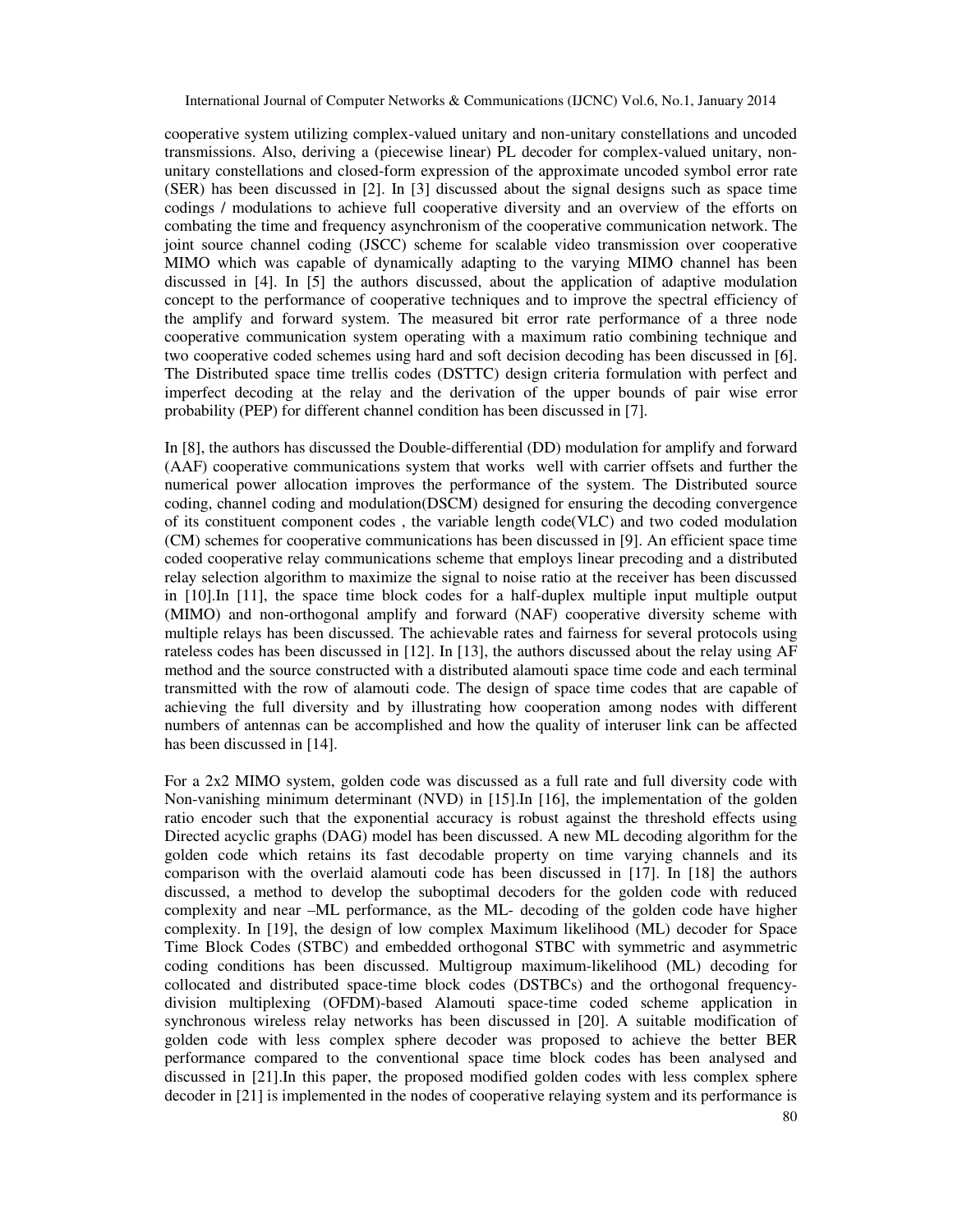cooperative system utilizing complex-valued unitary and non-unitary constellations and uncoded transmissions. Also, deriving a (piecewise linear) PL decoder for complex-valued unitary, nonunitary constellations and closed-form expression of the approximate uncoded symbol error rate (SER) has been discussed in [2]. In [3] discussed about the signal designs such as space time codings / modulations to achieve full cooperative diversity and an overview of the efforts on combating the time and frequency asynchronism of the cooperative communication network. The joint source channel coding (JSCC) scheme for scalable video transmission over cooperative MIMO which was capable of dynamically adapting to the varying MIMO channel has been discussed in [4]. In [5] the authors discussed, about the application of adaptive modulation concept to the performance of cooperative techniques and to improve the spectral efficiency of the amplify and forward system. The measured bit error rate performance of a three node cooperative communication system operating with a maximum ratio combining technique and two cooperative coded schemes using hard and soft decision decoding has been discussed in [6]. The Distributed space time trellis codes (DSTTC) design criteria formulation with perfect and imperfect decoding at the relay and the derivation of the upper bounds of pair wise error probability (PEP) for different channel condition has been discussed in [7].

In [8], the authors has discussed the Double-differential (DD) modulation for amplify and forward (AAF) cooperative communications system that works well with carrier offsets and further the numerical power allocation improves the performance of the system. The Distributed source coding, channel coding and modulation(DSCM) designed for ensuring the decoding convergence of its constituent component codes , the variable length code(VLC) and two coded modulation (CM) schemes for cooperative communications has been discussed in [9]. An efficient space time coded cooperative relay communications scheme that employs linear precoding and a distributed relay selection algorithm to maximize the signal to noise ratio at the receiver has been discussed in [10].In [11], the space time block codes for a half-duplex multiple input multiple output (MIMO) and non-orthogonal amplify and forward (NAF) cooperative diversity scheme with multiple relays has been discussed. The achievable rates and fairness for several protocols using rateless codes has been discussed in [12]. In [13], the authors discussed about the relay using AF method and the source constructed with a distributed alamouti space time code and each terminal transmitted with the row of alamouti code. The design of space time codes that are capable of achieving the full diversity and by illustrating how cooperation among nodes with different numbers of antennas can be accomplished and how the quality of interuser link can be affected has been discussed in [14].

For a 2x2 MIMO system, golden code was discussed as a full rate and full diversity code with Non-vanishing minimum determinant (NVD) in [15].In [16], the implementation of the golden ratio encoder such that the exponential accuracy is robust against the threshold effects using Directed acyclic graphs (DAG) model has been discussed. A new ML decoding algorithm for the golden code which retains its fast decodable property on time varying channels and its comparison with the overlaid alamouti code has been discussed in [17]. In [18] the authors discussed, a method to develop the suboptimal decoders for the golden code with reduced complexity and near –ML performance, as the ML- decoding of the golden code have higher complexity. In [19], the design of low complex Maximum likelihood (ML) decoder for Space Time Block Codes (STBC) and embedded orthogonal STBC with symmetric and asymmetric coding conditions has been discussed. Multigroup maximum-likelihood (ML) decoding for collocated and distributed space-time block codes (DSTBCs) and the orthogonal frequencydivision multiplexing (OFDM)-based Alamouti space-time coded scheme application in synchronous wireless relay networks has been discussed in [20]. A suitable modification of golden code with less complex sphere decoder was proposed to achieve the better BER performance compared to the conventional space time block codes has been analysed and discussed in [21].In this paper, the proposed modified golden codes with less complex sphere decoder in [21] is implemented in the nodes of cooperative relaying system and its performance is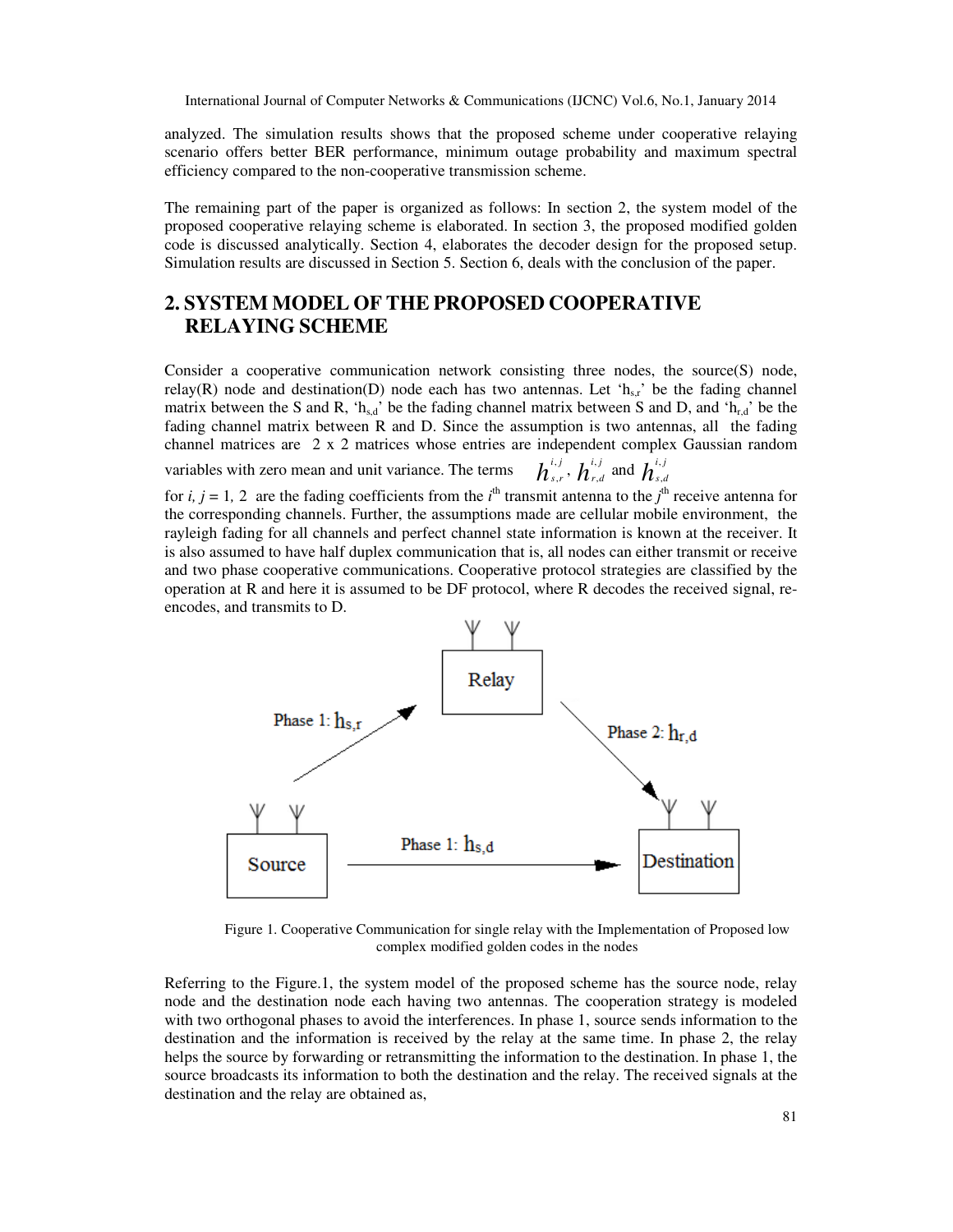analyzed. The simulation results shows that the proposed scheme under cooperative relaying scenario offers better BER performance, minimum outage probability and maximum spectral efficiency compared to the non-cooperative transmission scheme.

The remaining part of the paper is organized as follows: In section 2, the system model of the proposed cooperative relaying scheme is elaborated. In section 3, the proposed modified golden code is discussed analytically. Section 4, elaborates the decoder design for the proposed setup. Simulation results are discussed in Section 5. Section 6, deals with the conclusion of the paper.

# **2. SYSTEM MODEL OF THE PROPOSED COOPERATIVE RELAYING SCHEME**

Consider a cooperative communication network consisting three nodes, the source(S) node, relay(R) node and destination(D) node each has two antennas. Let ' $h_{s,r}$ ' be the fading channel matrix between the S and R, 'h<sub>s,d</sub>' be the fading channel matrix between S and D, and 'h<sub>r,d</sub>' be the fading channel matrix between R and D. Since the assumption is two antennas, all the fading channel matrices are 2 x 2 matrices whose entries are independent complex Gaussian random variables with zero mean and unit variance. The terms ,  $h^{\scriptscriptstyle i,j}_{\scriptscriptstyle s,r},$   $h^{\scriptscriptstyle i,\prime}_{\scriptscriptstyle r}$  $h_{\scriptscriptstyle r,d}^{\scriptscriptstyle i,j}$  and  $h_{\scriptscriptstyle s,d}^{\scriptscriptstyle i,j}$ 

for *i, j* = 1, 2 are the fading coefficients from the *i*<sup>th</sup> transmit antenna to the *j*<sup>th</sup> receive antenna for the corresponding channels. Further, the assumptions made are cellular mobile environment, the rayleigh fading for all channels and perfect channel state information is known at the receiver. It is also assumed to have half duplex communication that is, all nodes can either transmit or receive and two phase cooperative communications. Cooperative protocol strategies are classified by the operation at R and here it is assumed to be DF protocol, where R decodes the received signal, reencodes, and transmits to D.



Figure 1. Cooperative Communication for single relay with the Implementation of Proposed low complex modified golden codes in the nodes

Referring to the Figure.1, the system model of the proposed scheme has the source node, relay node and the destination node each having two antennas. The cooperation strategy is modeled with two orthogonal phases to avoid the interferences. In phase 1, source sends information to the destination and the information is received by the relay at the same time. In phase 2, the relay helps the source by forwarding or retransmitting the information to the destination. In phase 1, the source broadcasts its information to both the destination and the relay. The received signals at the destination and the relay are obtained as,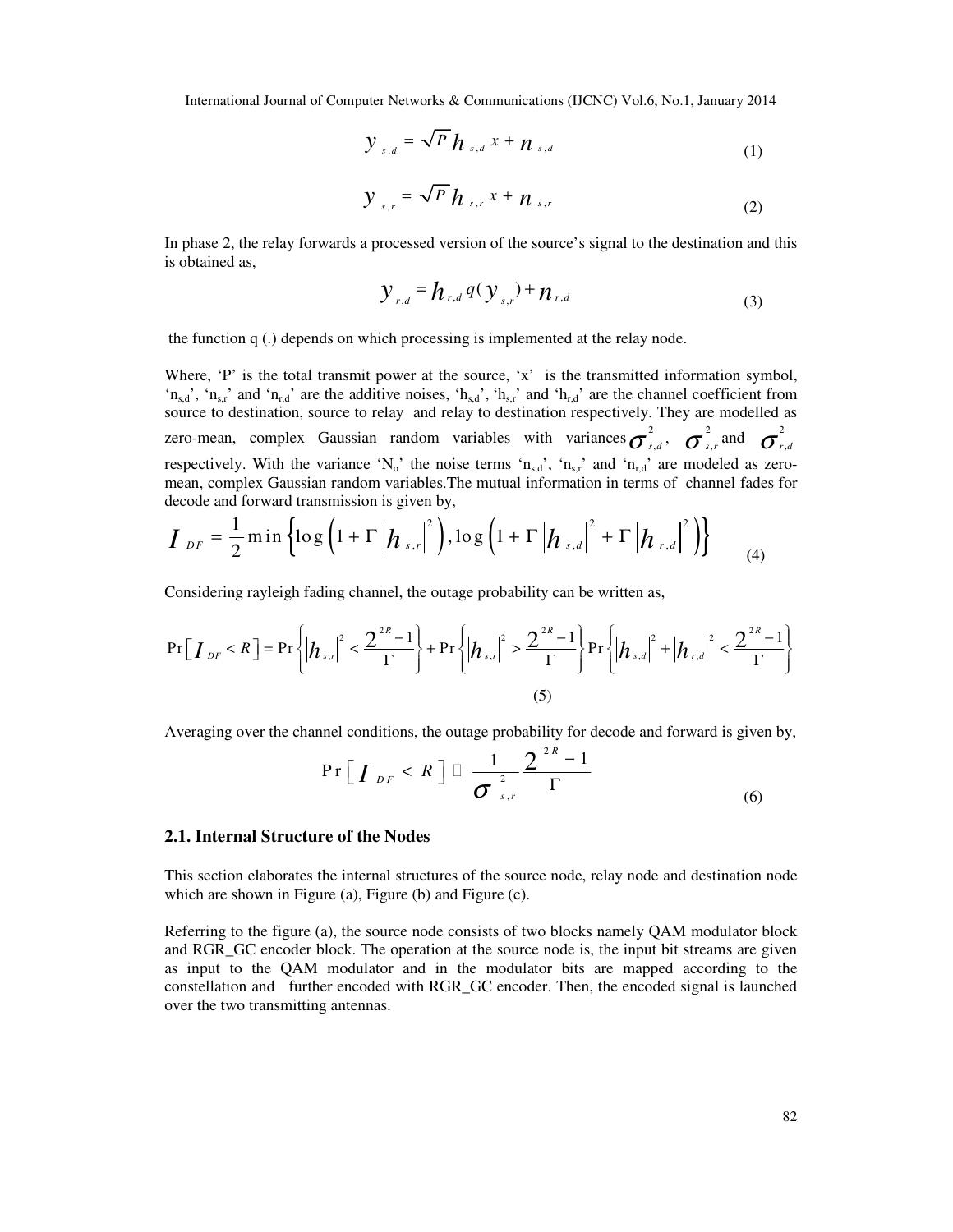$$
y_{s,d} = \sqrt{P} h_{s,d} x + n_{s,d} \tag{1}
$$

$$
y_{s,r} = \sqrt{P} h_{s,r} x + n_{s,r} \tag{2}
$$

In phase 2, the relay forwards a processed version of the source's signal to the destination and this is obtained as,

$$
\mathcal{Y}_{r,d} = \boldsymbol{h}_{r,d} \, q(\mathcal{Y}_{s,r}) + \boldsymbol{n}_{r,d} \tag{3}
$$

the function q (.) depends on which processing is implemented at the relay node.

Where, 'P' is the total transmit power at the source, 'x' is the transmitted information symbol, 'n<sub>s,d</sub>', 'n<sub>s,r</sub>' and 'n<sub>r,d</sub>' are the additive noises, 'h<sub>s,d</sub>', 'h<sub>s,r</sub>' and 'h<sub>r,d</sub>' are the channel coefficient from source to destination, source to relay and relay to destination respectively. They are modelled as zero-mean, complex Gaussian random variables with variances  $\sigma_{s,d}^2$ ,  $\sigma_{s,r}^2$  and  $\sigma_{r,d}^2$ respectively. With the variance 'N<sub>o</sub>' the noise terms ' $n_{s,d}$ ', ' $n_{s,r}$ ' and ' $n_{r,d}$ ' are modeled as zeromean, complex Gaussian random variables.The mutual information in terms of channel fades for decode and forward transmission is given by,

$$
I_{DF} = \frac{1}{2} \min \left\{ \log \left( 1 + \Gamma \left| h_{s,r} \right|^2 \right), \log \left( 1 + \Gamma \left| h_{s,d} \right|^2 + \Gamma \left| h_{r,d} \right|^2 \right) \right\} \tag{4}
$$

Considering rayleigh fading channel, the outage probability can be written as,

$$
\Pr[I_{DF} < R] = \Pr\left\{ \left| h_{s,r} \right|^2 < \frac{2^{2R} - 1}{\Gamma} \right\} + \Pr\left\{ \left| h_{s,r} \right|^2 > \frac{2^{2R} - 1}{\Gamma} \right\} \Pr\left\{ \left| h_{s,d} \right|^2 + \left| h_{r,d} \right|^2 < \frac{2^{2R} - 1}{\Gamma} \right\} \tag{5}
$$

Averaging over the channel conditions, the outage probability for decode and forward is given by,

$$
\Pr\left[\boldsymbol{I}_{DF} < \boldsymbol{R}\right] = \frac{1}{\sigma_{s,r}^2} \frac{2^{2\ell} - 1}{\Gamma} \tag{6}
$$

#### **2.1. Internal Structure of the Nodes**

This section elaborates the internal structures of the source node, relay node and destination node which are shown in Figure (a), Figure (b) and Figure (c).

Referring to the figure (a), the source node consists of two blocks namely QAM modulator block and RGR\_GC encoder block. The operation at the source node is, the input bit streams are given as input to the QAM modulator and in the modulator bits are mapped according to the constellation and further encoded with RGR\_GC encoder. Then, the encoded signal is launched over the two transmitting antennas.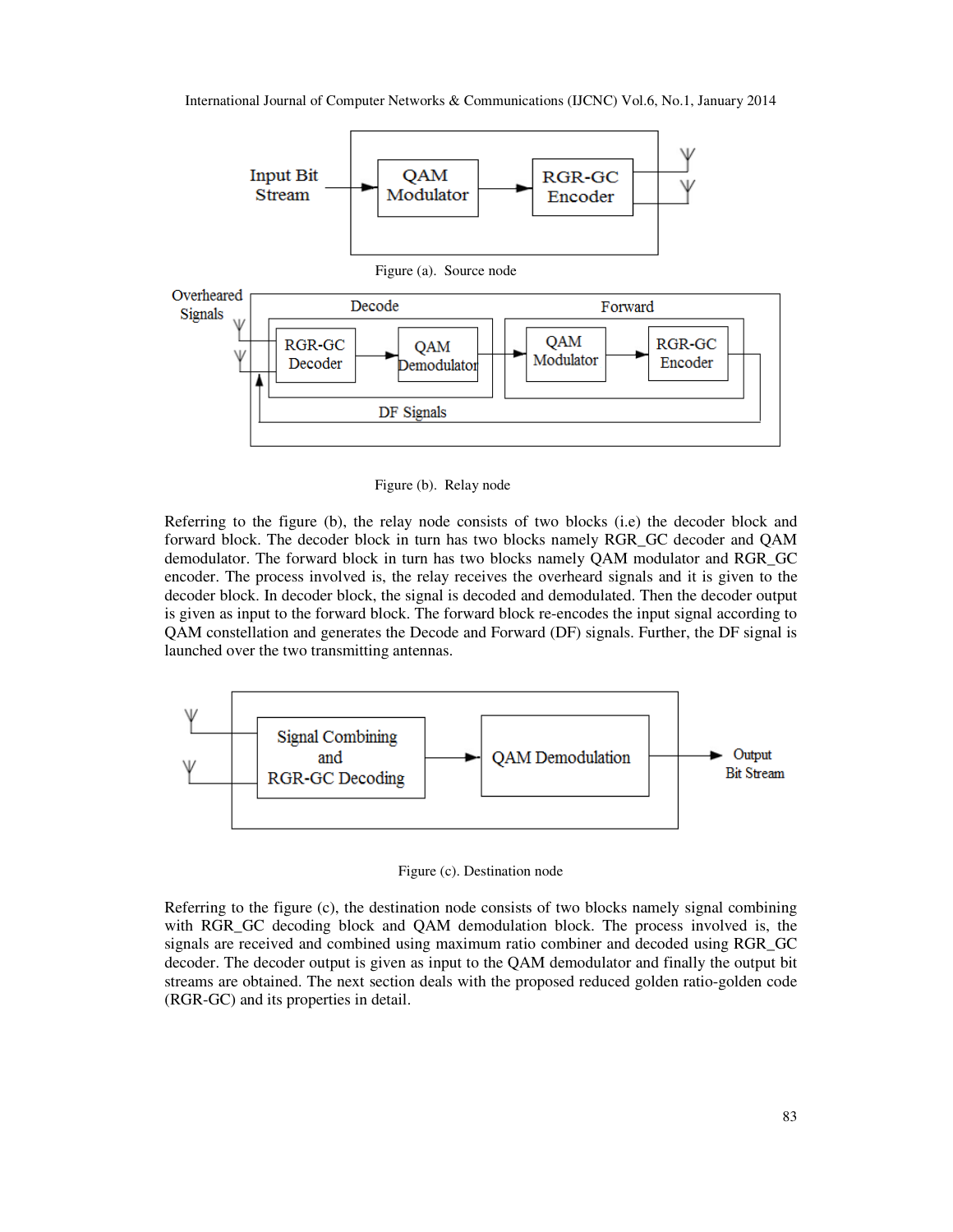

Figure (b). Relay node

Referring to the figure (b), the relay node consists of two blocks (i.e) the decoder block and forward block. The decoder block in turn has two blocks namely RGR\_GC decoder and QAM demodulator. The forward block in turn has two blocks namely QAM modulator and RGR\_GC encoder. The process involved is, the relay receives the overheard signals and it is given to the decoder block. In decoder block, the signal is decoded and demodulated. Then the decoder output is given as input to the forward block. The forward block re-encodes the input signal according to QAM constellation and generates the Decode and Forward (DF) signals. Further, the DF signal is launched over the two transmitting antennas.



Figure (c). Destination node

Referring to the figure (c), the destination node consists of two blocks namely signal combining with RGR GC decoding block and QAM demodulation block. The process involved is, the signals are received and combined using maximum ratio combiner and decoded using RGR\_GC decoder. The decoder output is given as input to the QAM demodulator and finally the output bit streams are obtained. The next section deals with the proposed reduced golden ratio-golden code (RGR-GC) and its properties in detail.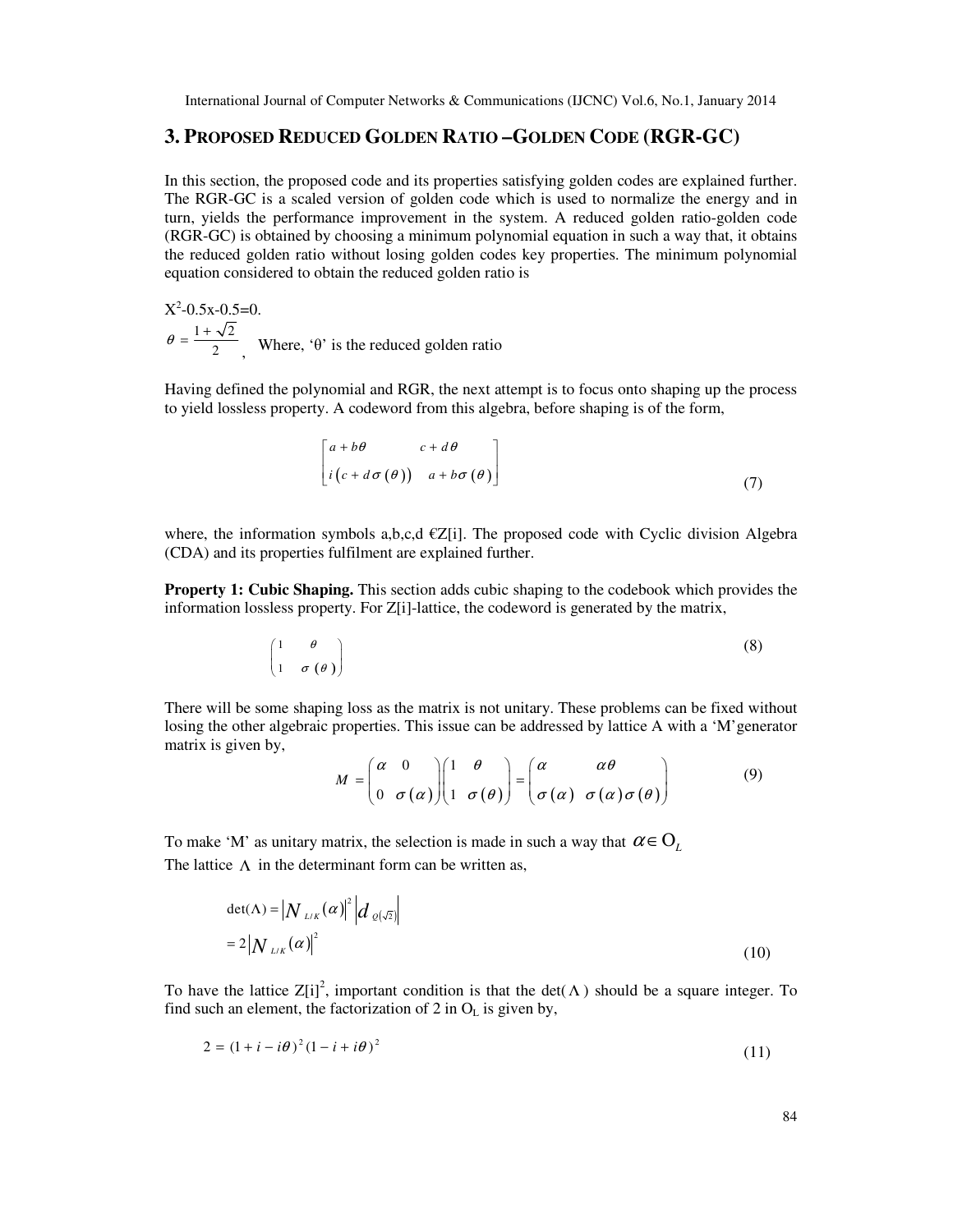## **3. PROPOSED REDUCED GOLDEN RATIO –GOLDEN CODE (RGR-GC)**

In this section, the proposed code and its properties satisfying golden codes are explained further. The RGR-GC is a scaled version of golden code which is used to normalize the energy and in turn, yields the performance improvement in the system. A reduced golden ratio-golden code (RGR-GC) is obtained by choosing a minimum polynomial equation in such a way that, it obtains the reduced golden ratio without losing golden codes key properties. The minimum polynomial equation considered to obtain the reduced golden ratio is

 $X^2$ -0.5x-0.5=0.  $1 + \sqrt{2}$  $\theta = \frac{1 + \sqrt{2}}{2}$ , Where, 'θ' is the reduced golden ratio

Having defined the polynomial and RGR, the next attempt is to focus onto shaping up the process to yield lossless property. A codeword from this algebra, before shaping is of the form,

$$
\begin{bmatrix} a+b\theta & c+d\theta \\ i(c+d\sigma(\theta)) & a+b\sigma(\theta) \end{bmatrix}
$$
 (7)

where, the information symbols a,b,c,d  $\in \mathbb{Z}[i]$ . The proposed code with Cyclic division Algebra (CDA) and its properties fulfilment are explained further.

**Property 1: Cubic Shaping.** This section adds cubic shaping to the codebook which provides the information lossless property. For Z[i]-lattice, the codeword is generated by the matrix,

$$
\begin{pmatrix} 1 & \theta \\ 1 & \sigma(\theta) \end{pmatrix} \tag{8}
$$

There will be some shaping loss as the matrix is not unitary. These problems can be fixed without losing the other algebraic properties. This issue can be addressed by lattice A with a 'M'generator matrix is given by,  $\sim$  1.0  $\sim$  1.0  $\sim$  1.0  $\sim$  1.0  $\sim$  1.0  $\sim$  1.0  $\sim$  1.0  $\sim$  1.0  $\sim$  1.0  $\sim$  1.0  $\sim$  1.0  $\sim$  1.0  $\sim$  1.0  $\sim$  1.0  $\sim$  1.0  $\sim$  1.0  $\sim$  1.0  $\sim$  1.0  $\sim$  1.0  $\sim$  1.0  $\sim$  1.0  $\sim$  1.0  $\sim$  1.0  $\sim$  1.0  $\sim$ 

$$
M = \begin{pmatrix} \alpha & 0 \\ 0 & \sigma(\alpha) \end{pmatrix} \begin{pmatrix} 1 & \theta \\ 1 & \sigma(\theta) \end{pmatrix} = \begin{pmatrix} \alpha & \alpha\theta \\ \sigma(\alpha) & \sigma(\alpha)\sigma(\theta) \end{pmatrix}
$$
(9)

To make 'M' as unitary matrix, the selection is made in such a way that  $\alpha \in O_{L}$ The lattice  $\Lambda$  in the determinant form can be written as,

$$
\det(\Lambda) = \left| N_{L/K}(\alpha) \right|^2 \left| d_{\varrho(\sqrt{2})} \right|
$$
  
= 2 \left| N\_{L/K}(\alpha) \right|^2 \tag{10}

To have the lattice  $Z[i]^2$ , important condition is that the det( $\Lambda$ ) should be a square integer. To find such an element, the factorization of 2 in  $O<sub>L</sub>$  is given by,

$$
2 = (1 + i - i\theta)^2 (1 - i + i\theta)^2
$$
\n(11)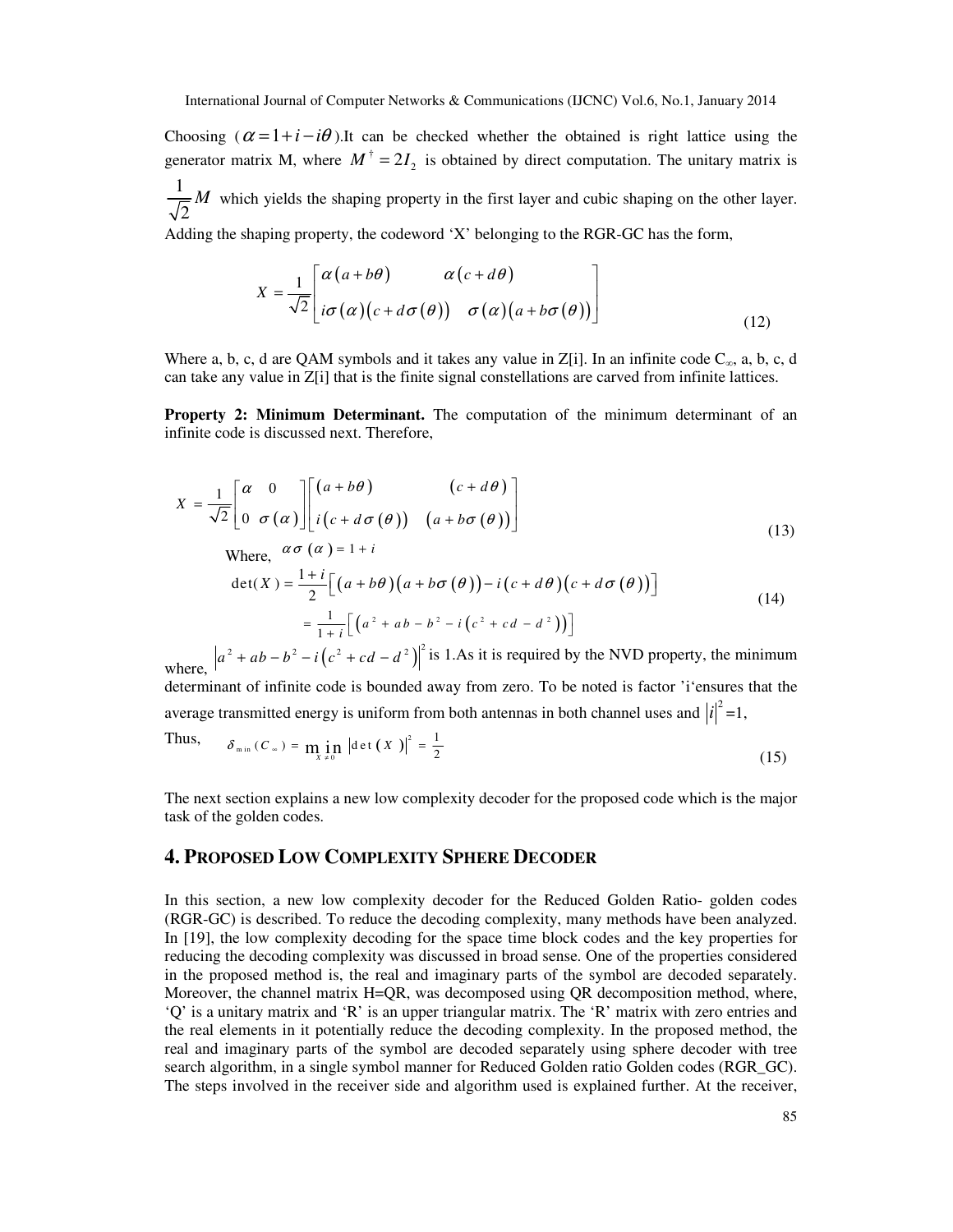Choosing  $(\alpha = 1 + i - i\theta)$ .It can be checked whether the obtained is right lattice using the generator matrix M, where  $M^{\dagger} = 2I_2$  is obtained by direct computation. The unitary matrix is 1 2 *M* which yields the shaping property in the first layer and cubic shaping on the other layer. Adding the shaping property, the codeword 'X' belonging to the RGR-GC has the form,

$$
X = \frac{1}{\sqrt{2}} \begin{bmatrix} \alpha(a+b\theta) & \alpha(c+d\theta) \\ i\sigma(\alpha)(c+d\sigma(\theta)) & \sigma(\alpha)(a+b\sigma(\theta)) \end{bmatrix}
$$
(12)

Where a, b, c, d are QAM symbols and it takes any value in Z[i]. In an infinite code  $C_{\infty}$ , a, b, c, d can take any value in Z[i] that is the finite signal constellations are carved from infinite lattices.

**Property 2: Minimum Determinant.** The computation of the minimum determinant of an infinite code is discussed next. Therefore,

$$
X = \frac{1}{\sqrt{2}} \begin{bmatrix} \alpha & 0 \\ 0 & \sigma(\alpha) \end{bmatrix} \begin{bmatrix} (a+b\theta) & (c+d\theta) \\ i(c+d\sigma(\theta)) & (a+b\sigma(\theta)) \end{bmatrix}
$$
(13)

Where, 
$$
\alpha \sigma(\alpha) = 1 + i
$$

$$
\det(X) = \frac{1+i}{2} \Big[ \big( a+b\theta \big) \big( a+b\sigma \big( \theta \big) \big) - i \big( c+d\theta \big) \big( c+d\sigma \big( \theta \big) \big) \Big]
$$
\n
$$
= \frac{1}{1+i} \Big[ \big( a^2 + ab - b^2 - i \big( c^2 + cd - d^2 \big) \big) \Big]
$$
\n(14)

where,  $|a^2 + ab - b^2 - i(c^2 + cd - d^2)|^2$  is 1.As it is required by the NVD property, the minimum determinant of infinite code is bounded away from zero. To be noted is factor 'i'ensures that the

average transmitted energy is uniform from both antennas in both channel uses and  $|i|^2 = 1$ ,

Thus, 
$$
\delta_{\min}(C_{\infty}) = \min_{X \neq 0} |\det(X)|^2 = \frac{1}{2}
$$
 (15)

The next section explains a new low complexity decoder for the proposed code which is the major task of the golden codes.

## **4. PROPOSED LOW COMPLEXITY SPHERE DECODER**

In this section, a new low complexity decoder for the Reduced Golden Ratio- golden codes (RGR-GC) is described. To reduce the decoding complexity, many methods have been analyzed. In [19], the low complexity decoding for the space time block codes and the key properties for reducing the decoding complexity was discussed in broad sense. One of the properties considered in the proposed method is, the real and imaginary parts of the symbol are decoded separately. Moreover, the channel matrix H=QR, was decomposed using QR decomposition method, where, 'Q' is a unitary matrix and 'R' is an upper triangular matrix. The 'R' matrix with zero entries and the real elements in it potentially reduce the decoding complexity. In the proposed method, the real and imaginary parts of the symbol are decoded separately using sphere decoder with tree search algorithm, in a single symbol manner for Reduced Golden ratio Golden codes (RGR\_GC). The steps involved in the receiver side and algorithm used is explained further. At the receiver,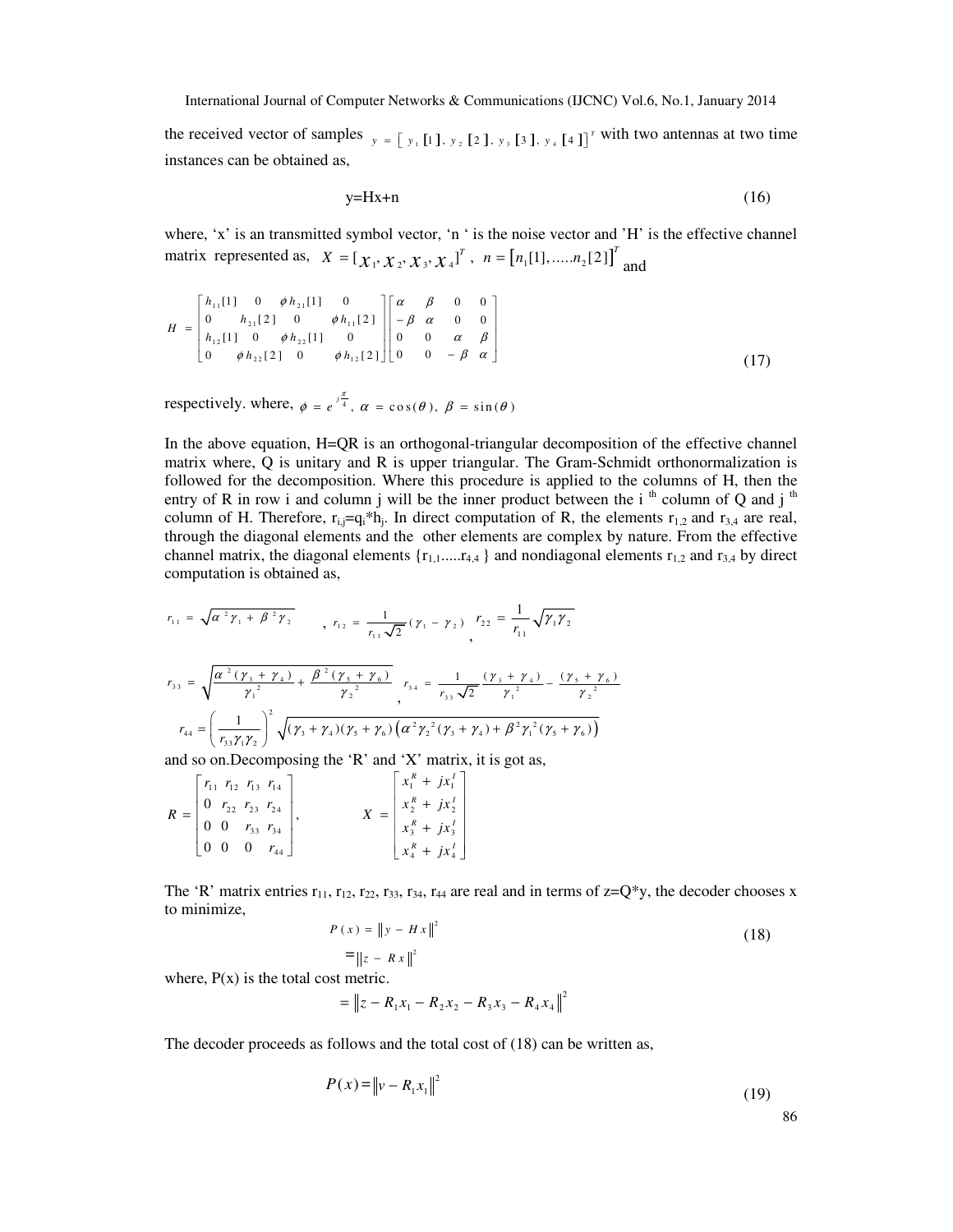the received vector of samples  $y = \begin{bmatrix} y_1 \end{bmatrix}$   $\begin{bmatrix} 1 \end{bmatrix}$ ,  $y_2 \begin{bmatrix} 2 \end{bmatrix}$ ,  $y_3 \begin{bmatrix} 3 \end{bmatrix}$ ,  $y_4 \begin{bmatrix} 4 \end{bmatrix}$ <sup>r</sup> with two antennas at two time instances can be obtained as,

$$
y=Hx+n
$$
 (16)

where, 'x' is an transmitted symbol vector, 'n ' is the noise vector and 'H' is the effective channel matrix represented as,  $X = [X_1, X_2, X_3, X_4]^T$ ,  $n = [n_1[1], \dots, n_2[2]]^T$  and

$$
H = \begin{bmatrix} h_{11}[1] & 0 & \phi h_{21}[1] & 0 \\ 0 & h_{21}[2] & 0 & \phi h_{11}[2] \\ h_{12}[1] & 0 & \phi h_{22}[1] & 0 \\ 0 & \phi h_{22}[2] & 0 & \phi h_{12}[2] \end{bmatrix} \begin{bmatrix} \alpha & \beta & 0 & 0 \\ -\beta & \alpha & 0 & 0 \\ 0 & 0 & \alpha & \beta \\ 0 & 0 & -\beta & \alpha \end{bmatrix}
$$
(17)

respectively. where,  $\phi = e^{\int \frac{\pi}{4}}$ ,  $\alpha = \cos(\theta)$ ,  $\beta = \sin(\theta)$ 

In the above equation, H=QR is an orthogonal-triangular decomposition of the effective channel matrix where, Q is unitary and R is upper triangular. The Gram-Schmidt orthonormalization is followed for the decomposition. Where this procedure is applied to the columns of H, then the entry of R in row i and column j will be the inner product between the i<sup>th</sup> column of Q and j<sup>th</sup> column of H. Therefore,  $r_{i,j}=q_i*h_j$ . In direct computation of R, the elements  $r_{1,2}$  and  $r_{3,4}$  are real, through the diagonal elements and the other elements are complex by nature. From the effective channel matrix, the diagonal elements  ${r_{1,1}...r_{4,4}}$  and nondiagonal elements  $r_{1,2}$  and  $r_{3,4}$  by direct computation is obtained as,

$$
r_{11} = \sqrt{\alpha^2 \gamma_1 + \beta^2 \gamma_2}, \quad r_{12} = \frac{1}{r_{11}\sqrt{2}} (\gamma_1 - \gamma_2), \quad r_{22} = \frac{1}{r_{11}} \sqrt{\gamma_1 \gamma_2}
$$
  

$$
r_{33} = \sqrt{\frac{\alpha^2 (\gamma_3 + \gamma_4)}{\gamma_1^2} + \frac{\beta^2 (\gamma_5 + \gamma_6)}{\gamma_2^2}}, \quad r_{34} = \frac{1}{r_{33}\sqrt{2}} \frac{(\gamma_3 + \gamma_4)}{\gamma_1^2} - \frac{(\gamma_5 + \gamma_6)}{\gamma_2^2}
$$
  

$$
r_{44} = \left(\frac{1}{r_{33}\gamma_1 \gamma_2}\right)^2 \sqrt{(\gamma_3 + \gamma_4)(\gamma_5 + \gamma_6)} \left(\alpha^2 \gamma_2^2 (\gamma_3 + \gamma_4) + \beta^2 \gamma_1^2 (\gamma_5 + \gamma_6)\right)
$$
  
and so on Decomposing the 'R' and 'X' matrix it is not as

and so on.Decomposing the 'R' and 'X' matrix, it is got as,  $\begin{bmatrix} r_{11} & r_{12} & r_{13} & r_{14} \end{bmatrix}$ 

$$
R = \begin{bmatrix} r_{11} & r_{12} & r_{13} & r_{14} \\ 0 & r_{22} & r_{23} & r_{24} \\ 0 & 0 & r_{33} & r_{34} \\ 0 & 0 & 0 & r_{44} \end{bmatrix}, \qquad X = \begin{bmatrix} x_1^R + jx_1^T \\ x_2^R + jx_2^T \\ x_3^R + jx_3^T \\ x_4^R + jx_4^T \end{bmatrix}
$$

The 'R' matrix entries  $r_{11}$ ,  $r_{12}$ ,  $r_{22}$ ,  $r_{33}$ ,  $r_{34}$ ,  $r_{44}$  are real and in terms of  $z = Q^*y$ , the decoder chooses x to minimize,

$$
P(x) = \|y - Hx\|^2
$$
(18)

where,  $P(x)$  is the total cost metric.

$$
= \|z - R_1x_1 - R_2x_2 - R_3x_3 - R_4x_4\|^2
$$

The decoder proceeds as follows and the total cost of (18) can be written as,

$$
P(x) = \|y - R_1 x_1\|^2
$$
 (19)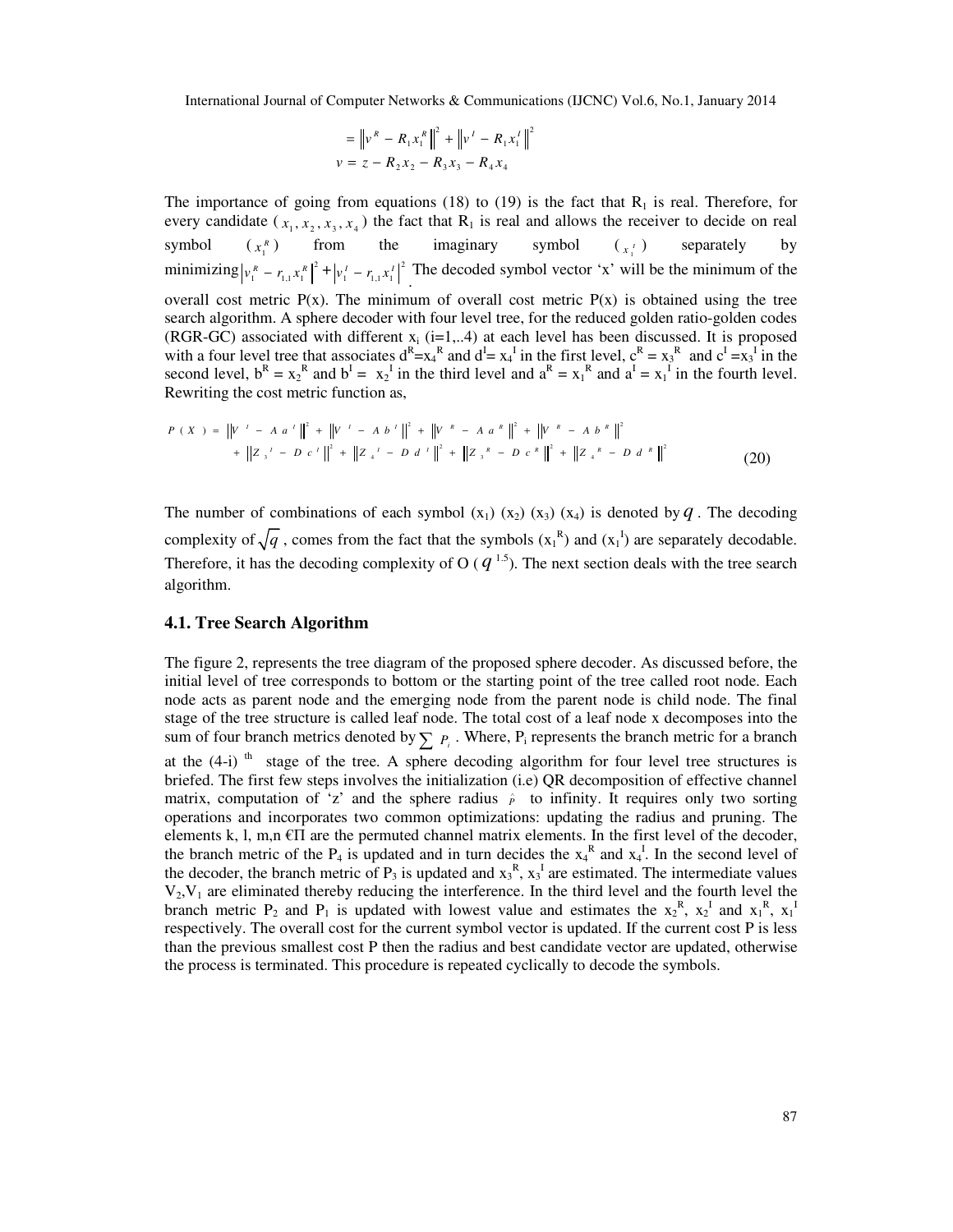$$
= \|v^R - R_1 x_1^R\|^2 + \|v^I - R_1 x_1^I\|^2
$$
  

$$
v = z - R_2 x_2 - R_3 x_3 - R_4 x_4
$$

The importance of going from equations (18) to (19) is the fact that  $R_1$  is real. Therefore, for every candidate  $(x_1, x_2, x_3, x_4)$  the fact that  $R_1$  is real and allows the receiver to decide on real symbol  $(x_i^R)$  from  $x_1^R$ ) from the imaginary symbol  $(x_1^I)$  separately by minimizing  $|v_1^R - r_{1,1}x_1^R|^2 + |v_1^I - r_{1,1}x_1^I|^2$  $v_1^r - r_{1,1} x_1^r \vert^2$ . The decoded symbol vector 'x' will be the minimum of the overall cost metric  $P(x)$ . The minimum of overall cost metric  $P(x)$  is obtained using the tree search algorithm. A sphere decoder with four level tree, for the reduced golden ratio-golden codes (RGR-GC) associated with different  $x_i$  (i=1,..4) at each level has been discussed. It is proposed with a four level tree that associates  $d^R = x_4^R$  and  $d^I = x_4^I$  in the first level,  $c^R = x_3^R$  and  $c^I = x_3^I$  in the second level,  $b^R = x_2^R$  and  $b^I = x_2^I$  in the third level and  $a^R = x_1^R$  and  $a^I = x_1^I$  in the fourth level. Rewriting the cost metric function as,

$$
P(X) = \|V' - A a^i\|^2 + \|V' - A b^i\|^2 + \|V^k - A a^i\|^2 + \|V^k - A b^i\|^2
$$
  
+ 
$$
\|Z_{3}^T - D c^i\|^2 + \|Z_{4}^T - D d^i\|^2 + \|Z_{3}^R - D c^i\|^2 + \|Z_{3}^R - D c^i\|^2 + \|Z_{4}^R - D d^i\|^2
$$
 (20)

The number of combinations of each symbol  $(x_1)(x_2)(x_3)(x_4)$  is denoted by *q*. The decoding complexity of  $\sqrt{q}$ , comes from the fact that the symbols  $(x_1^R)$  and  $(x_1^I)$  are separately decodable. Therefore, it has the decoding complexity of O ( $q^{1.5}$ ). The next section deals with the tree search algorithm.

#### **4.1. Tree Search Algorithm**

The figure 2, represents the tree diagram of the proposed sphere decoder. As discussed before, the initial level of tree corresponds to bottom or the starting point of the tree called root node. Each node acts as parent node and the emerging node from the parent node is child node. The final stage of the tree structure is called leaf node. The total cost of a leaf node x decomposes into the sum of four branch metrics denoted by  $\sum P_i$ . Where,  $P_i$  represents the branch metric for a branch at the  $(4-i)$ <sup>th</sup> stage of the tree. A sphere decoding algorithm for four level tree structures is briefed. The first few steps involves the initialization (i.e) QR decomposition of effective channel matrix, computation of 'z' and the sphere radius  $\hat{P}$  to infinity. It requires only two sorting operations and incorporates two common optimizations: updating the radius and pruning. The elements k, l, m,n  $\epsilon \Pi$  are the permuted channel matrix elements. In the first level of the decoder, the branch metric of the  $P_4$  is updated and in turn decides the  $x_4^R$  and  $x_4^I$ . In the second level of the decoder, the branch metric of  $P_3$  is updated and  $x_3^R$ ,  $x_3^T$  are estimated. The intermediate values  $V_2$ , $V_1$  are eliminated thereby reducing the interference. In the third level and the fourth level the branch metric  $P_2$  and  $P_1$  is updated with lowest value and estimates the  $x_2^R$ ,  $x_2^I$  and  $x_1^R$ ,  $x_1^I$ respectively. The overall cost for the current symbol vector is updated. If the current cost P is less than the previous smallest cost P then the radius and best candidate vector are updated, otherwise the process is terminated. This procedure is repeated cyclically to decode the symbols.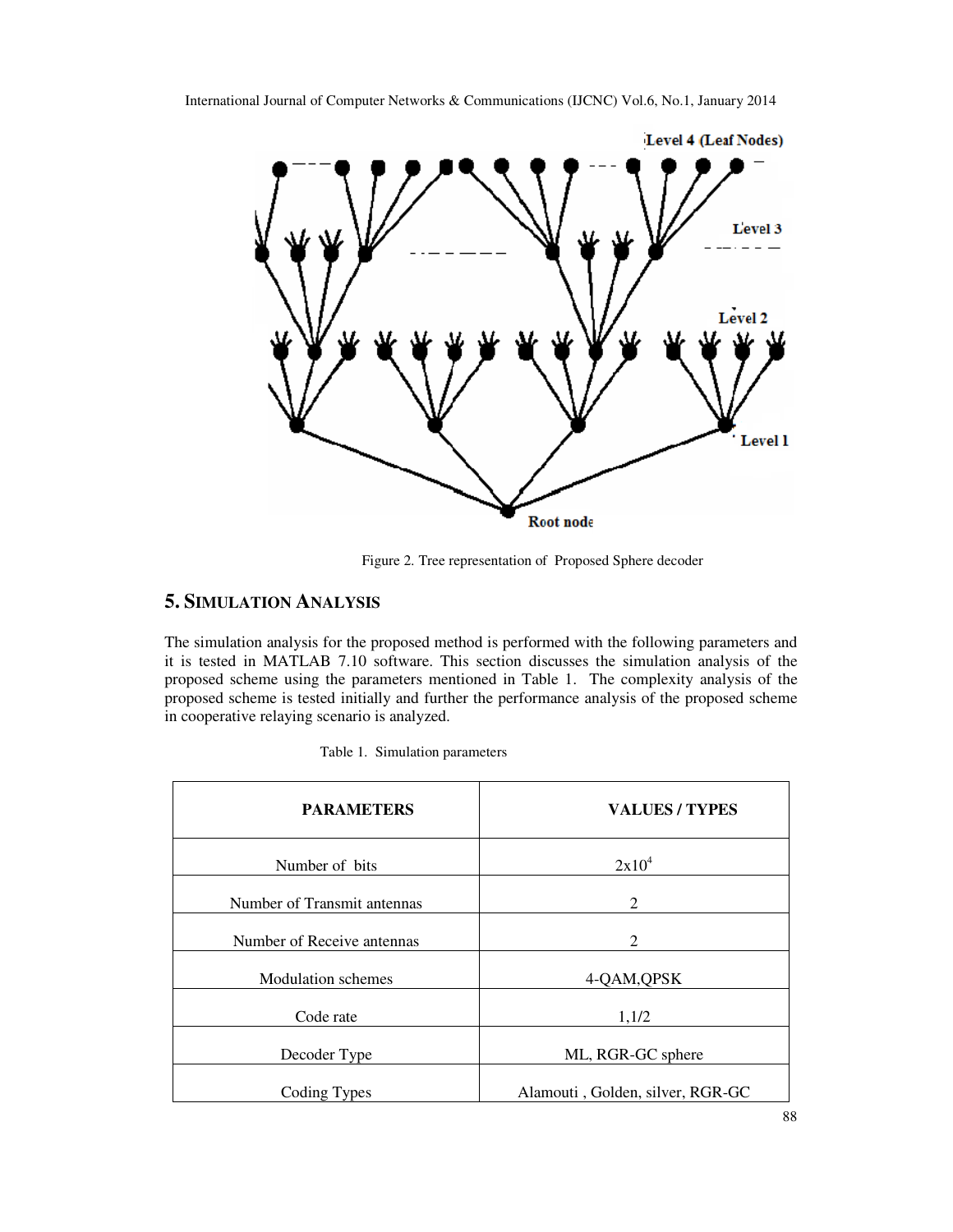

International Journal of Computer Networks & Communications (IJCNC) Vol.6, No.1, January 2014

Figure 2. Tree representation of Proposed Sphere decoder

# **5. SIMULATION ANALYSIS**

The simulation analysis for the proposed method is performed with the following parameters and it is tested in MATLAB 7.10 software. This section discusses the simulation analysis of the proposed scheme using the parameters mentioned in Table 1. The complexity analysis of the proposed scheme is tested initially and further the performance analysis of the proposed scheme in cooperative relaying scenario is analyzed.

| <b>PARAMETERS</b>           | <b>VALUES/TYPES</b>              |
|-----------------------------|----------------------------------|
| Number of bits              | $2x10^4$                         |
| Number of Transmit antennas | 2                                |
| Number of Receive antennas  | 2                                |
| <b>Modulation</b> schemes   | 4-QAM, QPSK                      |
| Code rate                   | 1,1/2                            |
| Decoder Type                | ML, RGR-GC sphere                |
| Coding Types                | Alamouti, Golden, silver, RGR-GC |

|  | Table 1. Simulation parameters |  |
|--|--------------------------------|--|
|--|--------------------------------|--|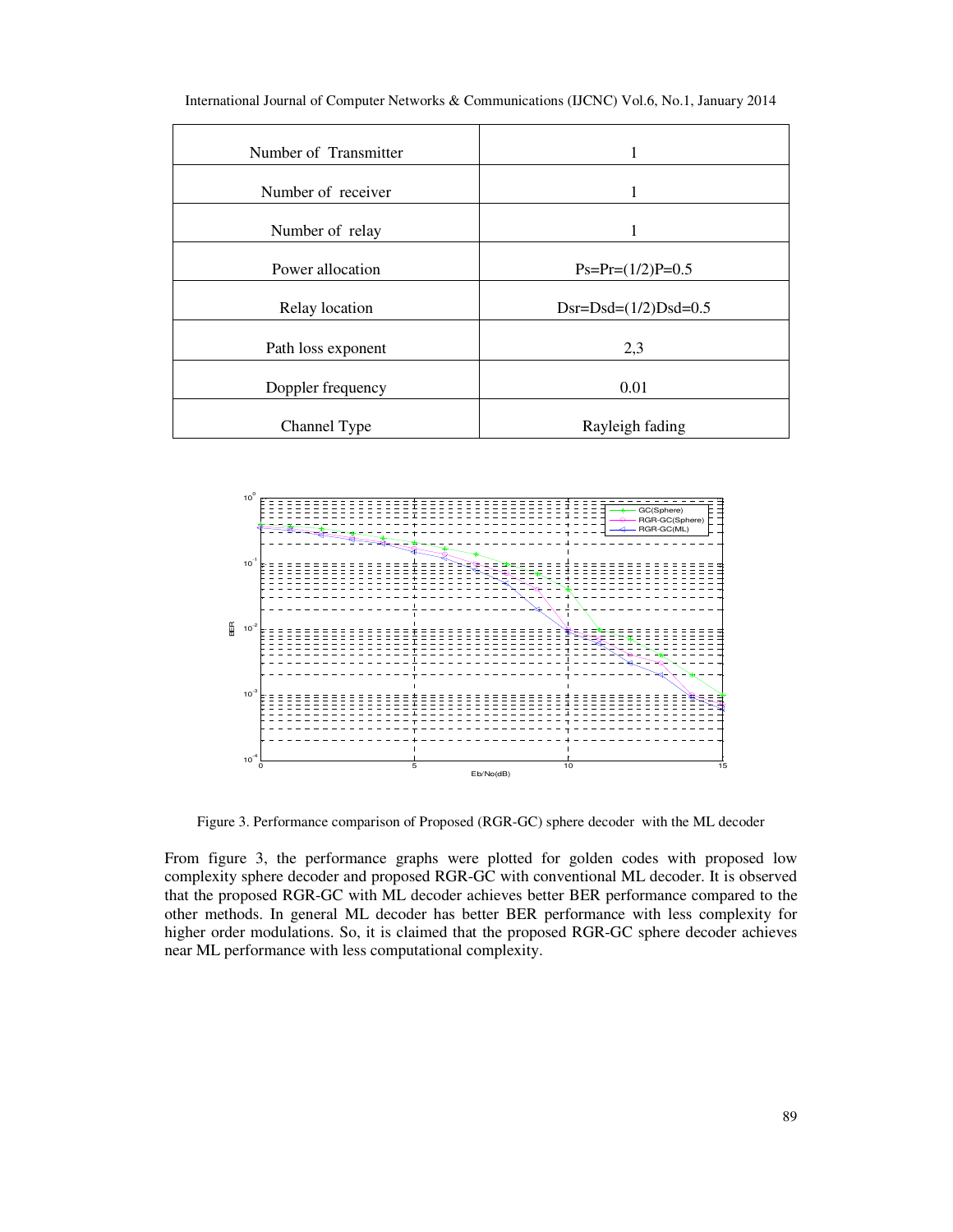| Number of Transmitter | 1                            |
|-----------------------|------------------------------|
| Number of receiver    |                              |
| Number of relay       |                              |
| Power allocation      | $Ps = Pr = (1/2)P = 0.5$     |
| Relay location        | $Dsr = Dsd = (1/2)Dsd = 0.5$ |
| Path loss exponent    | 2,3                          |
| Doppler frequency     | 0.01                         |
| Channel Type          | Rayleigh fading              |

International Journal of Computer Networks & Communications (IJCNC) Vol.6, No.1, January 2014



Figure 3. Performance comparison of Proposed (RGR-GC) sphere decoder with the ML decoder

From figure 3, the performance graphs were plotted for golden codes with proposed low complexity sphere decoder and proposed RGR-GC with conventional ML decoder. It is observed that the proposed RGR-GC with ML decoder achieves better BER performance compared to the other methods. In general ML decoder has better BER performance with less complexity for higher order modulations. So, it is claimed that the proposed RGR-GC sphere decoder achieves near ML performance with less computational complexity.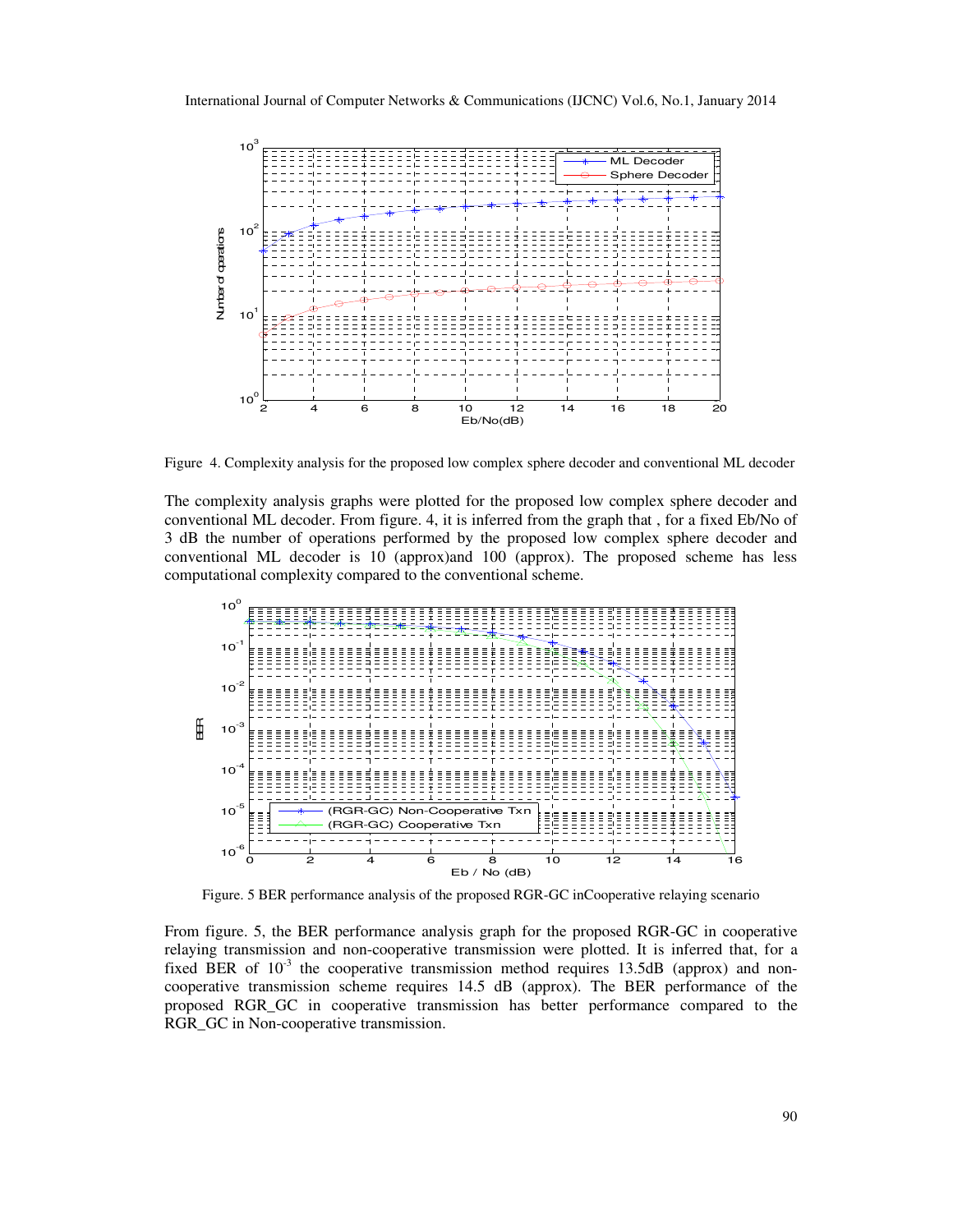

Figure 4. Complexity analysis for the proposed low complex sphere decoder and conventional ML decoder

The complexity analysis graphs were plotted for the proposed low complex sphere decoder and conventional ML decoder. From figure. 4, it is inferred from the graph that , for a fixed Eb/No of 3 dB the number of operations performed by the proposed low complex sphere decoder and conventional ML decoder is 10 (approx)and 100 (approx). The proposed scheme has less computational complexity compared to the conventional scheme.



Figure. 5 BER performance analysis of the proposed RGR-GC inCooperative relaying scenario

From figure. 5, the BER performance analysis graph for the proposed RGR-GC in cooperative relaying transmission and non-cooperative transmission were plotted. It is inferred that, for a fixed BER of  $10^{-3}$  the cooperative transmission method requires 13.5dB (approx) and noncooperative transmission scheme requires 14.5 dB (approx). The BER performance of the proposed RGR\_GC in cooperative transmission has better performance compared to the RGR\_GC in Non-cooperative transmission.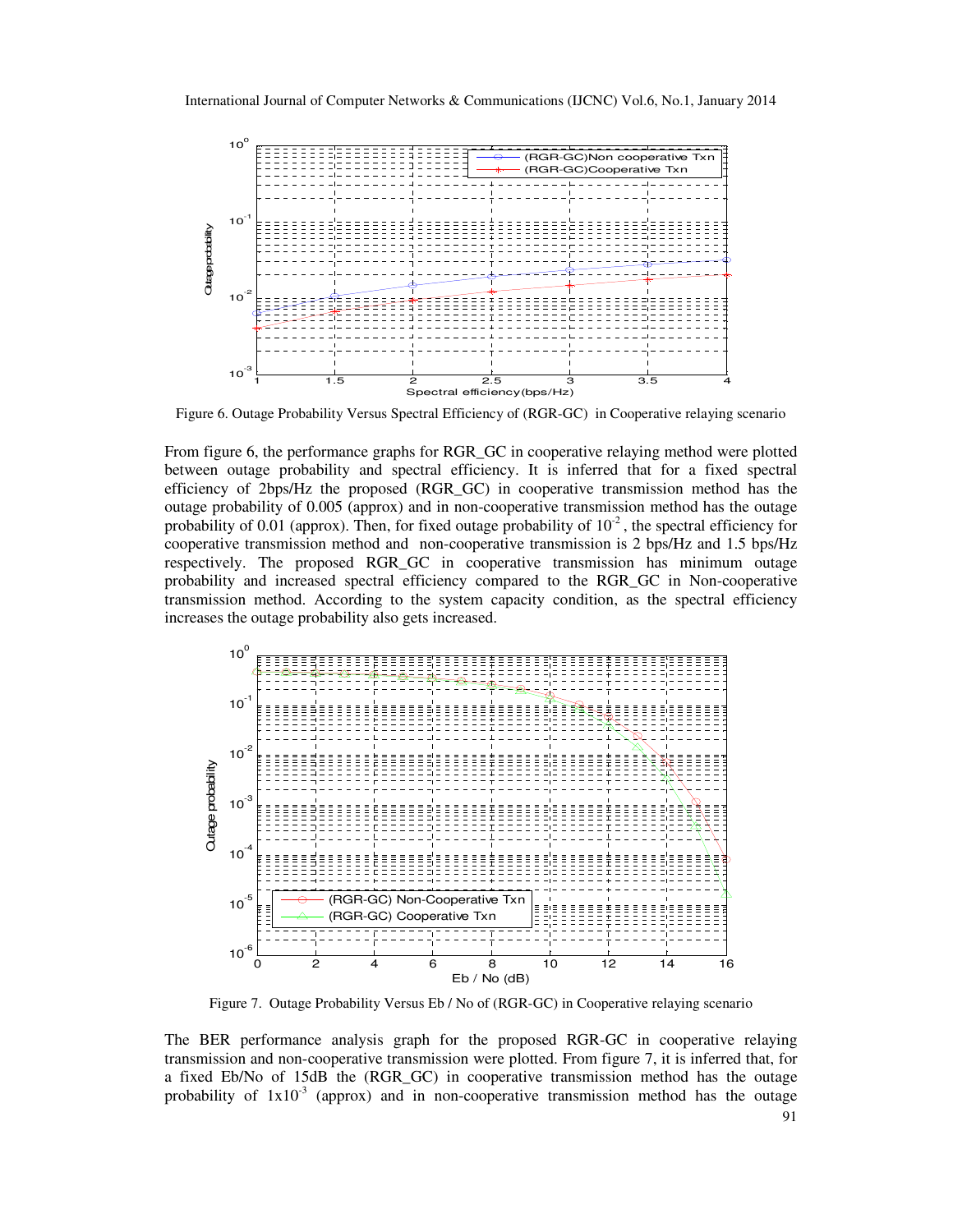

Figure 6. Outage Probability Versus Spectral Efficiency of (RGR-GC) in Cooperative relaying scenario

From figure 6, the performance graphs for RGR\_GC in cooperative relaying method were plotted between outage probability and spectral efficiency. It is inferred that for a fixed spectral efficiency of 2bps/Hz the proposed (RGR\_GC) in cooperative transmission method has the outage probability of 0.005 (approx) and in non-cooperative transmission method has the outage probability of 0.01 (approx). Then, for fixed outage probability of  $10^{-2}$ , the spectral efficiency for cooperative transmission method and non-cooperative transmission is 2 bps/Hz and 1.5 bps/Hz respectively. The proposed RGR\_GC in cooperative transmission has minimum outage probability and increased spectral efficiency compared to the RGR\_GC in Non-cooperative transmission method. According to the system capacity condition, as the spectral efficiency increases the outage probability also gets increased.



Figure 7. Outage Probability Versus Eb / No of (RGR-GC) in Cooperative relaying scenario

The BER performance analysis graph for the proposed RGR-GC in cooperative relaying transmission and non-cooperative transmission were plotted. From figure 7, it is inferred that, for a fixed Eb/No of 15dB the (RGR\_GC) in cooperative transmission method has the outage probability of  $1x10^{-3}$  (approx) and in non-cooperative transmission method has the outage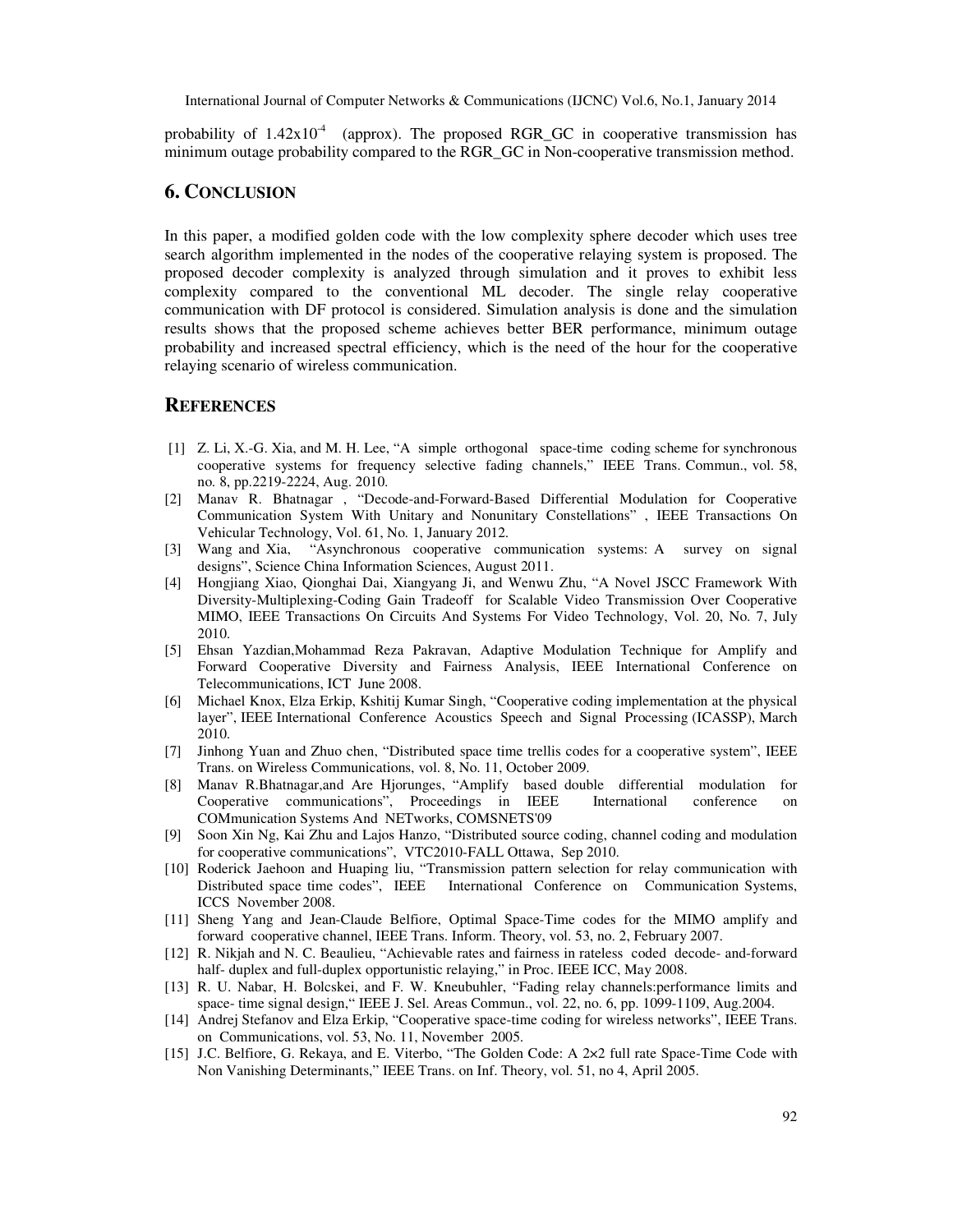probability of  $1.42x10^4$  (approx). The proposed RGR\_GC in cooperative transmission has minimum outage probability compared to the RGR\_GC in Non-cooperative transmission method.

## **6. CONCLUSION**

In this paper, a modified golden code with the low complexity sphere decoder which uses tree search algorithm implemented in the nodes of the cooperative relaying system is proposed. The proposed decoder complexity is analyzed through simulation and it proves to exhibit less complexity compared to the conventional ML decoder. The single relay cooperative communication with DF protocol is considered. Simulation analysis is done and the simulation results shows that the proposed scheme achieves better BER performance, minimum outage probability and increased spectral efficiency, which is the need of the hour for the cooperative relaying scenario of wireless communication.

### **REFERENCES**

- [1] Z. Li, X.-G. Xia, and M. H. Lee, "A simple orthogonal space-time coding scheme for synchronous cooperative systems for frequency selective fading channels," IEEE Trans. Commun., vol. 58, no. 8, pp.2219-2224, Aug. 2010.
- [2] Manav R. Bhatnagar , "Decode-and-Forward-Based Differential Modulation for Cooperative Communication System With Unitary and Nonunitary Constellations" , IEEE Transactions On Vehicular Technology, Vol. 61, No. 1, January 2012.
- [3] Wang and Xia, "Asynchronous cooperative communication systems: A survey on signal designs", Science China Information Sciences, August 2011.
- [4] Hongjiang Xiao, Qionghai Dai, Xiangyang Ji, and Wenwu Zhu, "A Novel JSCC Framework With Diversity-Multiplexing-Coding Gain Tradeoff for Scalable Video Transmission Over Cooperative MIMO, IEEE Transactions On Circuits And Systems For Video Technology, Vol. 20, No. 7, July 2010.
- [5] Ehsan Yazdian,Mohammad Reza Pakravan, Adaptive Modulation Technique for Amplify and Forward Cooperative Diversity and Fairness Analysis, IEEE International Conference on Telecommunications, ICT June 2008.
- [6] Michael Knox, Elza Erkip, Kshitij Kumar Singh, "Cooperative coding implementation at the physical layer", IEEE International Conference Acoustics Speech and Signal Processing (ICASSP), March 2010.
- [7] Jinhong Yuan and Zhuo chen, "Distributed space time trellis codes for a cooperative system", IEEE Trans. on Wireless Communications, vol. 8, No. 11, October 2009.
- [8] Manav R.Bhatnagar,and Are Hjorunges, "Amplify based double differential modulation for Cooperative communications", Proceedings in IEEE International conference on COMmunication Systems And NETworks, COMSNETS'09
- [9] Soon Xin Ng, Kai Zhu and Lajos Hanzo, "Distributed source coding, channel coding and modulation for cooperative communications", VTC2010-FALL Ottawa, Sep 2010.
- [10] Roderick Jaehoon and Huaping liu, "Transmission pattern selection for relay communication with Distributed space time codes", IEEE International Conference on Communication Systems, ICCS November 2008.
- [11] Sheng Yang and Jean-Claude Belfiore, Optimal Space-Time codes for the MIMO amplify and forward cooperative channel, IEEE Trans. Inform. Theory, vol. 53, no. 2, February 2007.
- [12] R. Nikjah and N. C. Beaulieu, "Achievable rates and fairness in rateless coded decode- and-forward half- duplex and full-duplex opportunistic relaying," in Proc. IEEE ICC, May 2008.
- [13] R. U. Nabar, H. Bolcskei, and F. W. Kneubuhler, "Fading relay channels:performance limits and space- time signal design," IEEE J. Sel. Areas Commun., vol. 22, no. 6, pp. 1099-1109, Aug.2004.
- [14] Andrej Stefanov and Elza Erkip, "Cooperative space-time coding for wireless networks", IEEE Trans. on Communications, vol. 53, No. 11, November 2005.
- [15] J.C. Belfiore, G. Rekaya, and E. Viterbo, "The Golden Code: A 2×2 full rate Space-Time Code with Non Vanishing Determinants," IEEE Trans. on Inf. Theory, vol. 51, no 4, April 2005.